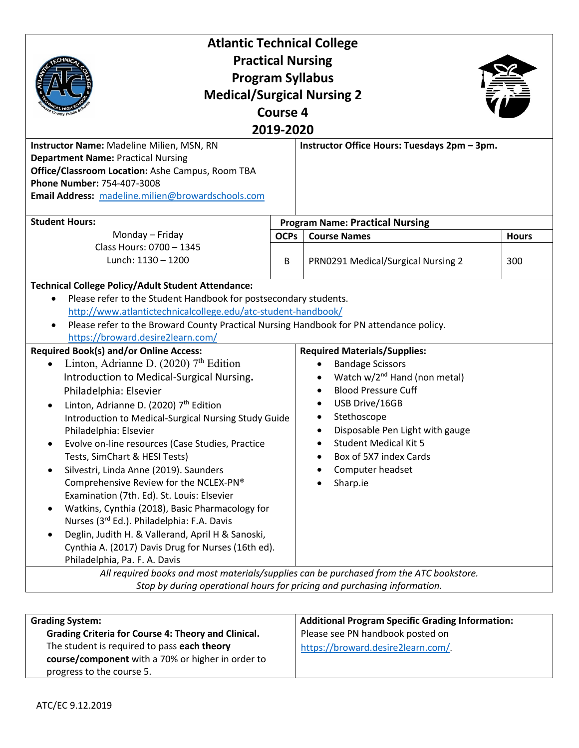| <b>Atlantic Technical College</b>                                                                                                                                                                                                                                                                                                                                                                                                                                                                                                                                                                                                                                                                                                                                                                                                                                                                                                                                                                                                                                                                                                                                                                                                                                                                                                                                                                                                                                                |                                        |                                              |              |  |
|----------------------------------------------------------------------------------------------------------------------------------------------------------------------------------------------------------------------------------------------------------------------------------------------------------------------------------------------------------------------------------------------------------------------------------------------------------------------------------------------------------------------------------------------------------------------------------------------------------------------------------------------------------------------------------------------------------------------------------------------------------------------------------------------------------------------------------------------------------------------------------------------------------------------------------------------------------------------------------------------------------------------------------------------------------------------------------------------------------------------------------------------------------------------------------------------------------------------------------------------------------------------------------------------------------------------------------------------------------------------------------------------------------------------------------------------------------------------------------|----------------------------------------|----------------------------------------------|--------------|--|
| <b>Practical Nursing</b>                                                                                                                                                                                                                                                                                                                                                                                                                                                                                                                                                                                                                                                                                                                                                                                                                                                                                                                                                                                                                                                                                                                                                                                                                                                                                                                                                                                                                                                         |                                        |                                              |              |  |
| <b>Program Syllabus</b>                                                                                                                                                                                                                                                                                                                                                                                                                                                                                                                                                                                                                                                                                                                                                                                                                                                                                                                                                                                                                                                                                                                                                                                                                                                                                                                                                                                                                                                          |                                        |                                              |              |  |
| <b>Medical/Surgical Nursing 2</b>                                                                                                                                                                                                                                                                                                                                                                                                                                                                                                                                                                                                                                                                                                                                                                                                                                                                                                                                                                                                                                                                                                                                                                                                                                                                                                                                                                                                                                                |                                        |                                              |              |  |
|                                                                                                                                                                                                                                                                                                                                                                                                                                                                                                                                                                                                                                                                                                                                                                                                                                                                                                                                                                                                                                                                                                                                                                                                                                                                                                                                                                                                                                                                                  |                                        |                                              |              |  |
| <b>Course 4</b>                                                                                                                                                                                                                                                                                                                                                                                                                                                                                                                                                                                                                                                                                                                                                                                                                                                                                                                                                                                                                                                                                                                                                                                                                                                                                                                                                                                                                                                                  |                                        |                                              |              |  |
| 2019-2020                                                                                                                                                                                                                                                                                                                                                                                                                                                                                                                                                                                                                                                                                                                                                                                                                                                                                                                                                                                                                                                                                                                                                                                                                                                                                                                                                                                                                                                                        |                                        |                                              |              |  |
| Instructor Name: Madeline Milien, MSN, RN                                                                                                                                                                                                                                                                                                                                                                                                                                                                                                                                                                                                                                                                                                                                                                                                                                                                                                                                                                                                                                                                                                                                                                                                                                                                                                                                                                                                                                        |                                        | Instructor Office Hours: Tuesdays 2pm - 3pm. |              |  |
| <b>Department Name: Practical Nursing</b>                                                                                                                                                                                                                                                                                                                                                                                                                                                                                                                                                                                                                                                                                                                                                                                                                                                                                                                                                                                                                                                                                                                                                                                                                                                                                                                                                                                                                                        |                                        |                                              |              |  |
| Office/Classroom Location: Ashe Campus, Room TBA                                                                                                                                                                                                                                                                                                                                                                                                                                                                                                                                                                                                                                                                                                                                                                                                                                                                                                                                                                                                                                                                                                                                                                                                                                                                                                                                                                                                                                 |                                        |                                              |              |  |
| Phone Number: 754-407-3008                                                                                                                                                                                                                                                                                                                                                                                                                                                                                                                                                                                                                                                                                                                                                                                                                                                                                                                                                                                                                                                                                                                                                                                                                                                                                                                                                                                                                                                       |                                        |                                              |              |  |
| Email Address: madeline.milien@browardschools.com                                                                                                                                                                                                                                                                                                                                                                                                                                                                                                                                                                                                                                                                                                                                                                                                                                                                                                                                                                                                                                                                                                                                                                                                                                                                                                                                                                                                                                |                                        |                                              |              |  |
| <b>Student Hours:</b>                                                                                                                                                                                                                                                                                                                                                                                                                                                                                                                                                                                                                                                                                                                                                                                                                                                                                                                                                                                                                                                                                                                                                                                                                                                                                                                                                                                                                                                            | <b>Program Name: Practical Nursing</b> |                                              |              |  |
| Monday - Friday                                                                                                                                                                                                                                                                                                                                                                                                                                                                                                                                                                                                                                                                                                                                                                                                                                                                                                                                                                                                                                                                                                                                                                                                                                                                                                                                                                                                                                                                  | <b>OCPs</b>                            | <b>Course Names</b>                          | <b>Hours</b> |  |
| Class Hours: 0700 - 1345                                                                                                                                                                                                                                                                                                                                                                                                                                                                                                                                                                                                                                                                                                                                                                                                                                                                                                                                                                                                                                                                                                                                                                                                                                                                                                                                                                                                                                                         |                                        |                                              |              |  |
| Lunch: 1130 - 1200                                                                                                                                                                                                                                                                                                                                                                                                                                                                                                                                                                                                                                                                                                                                                                                                                                                                                                                                                                                                                                                                                                                                                                                                                                                                                                                                                                                                                                                               | B                                      | PRN0291 Medical/Surgical Nursing 2           | 300          |  |
| <b>Technical College Policy/Adult Student Attendance:</b><br>Please refer to the Student Handbook for postsecondary students.<br>http://www.atlantictechnicalcollege.edu/atc-student-handbook/<br>Please refer to the Broward County Practical Nursing Handbook for PN attendance policy.<br>https://broward.desire2learn.com/<br><b>Required Book(s) and/or Online Access:</b><br><b>Required Materials/Supplies:</b><br>Linton, Adrianne D. (2020) 7th Edition<br><b>Bandage Scissors</b><br>$\bullet$<br>Watch w/2 <sup>nd</sup> Hand (non metal)<br>Introduction to Medical-Surgical Nursing.<br><b>Blood Pressure Cuff</b><br>Philadelphia: Elsevier<br>USB Drive/16GB<br>Linton, Adrianne D. (2020) 7th Edition<br>$\bullet$<br>Stethoscope<br>Introduction to Medical-Surgical Nursing Study Guide<br>٠<br>Disposable Pen Light with gauge<br>Philadelphia: Elsevier<br><b>Student Medical Kit 5</b><br>Evolve on-line resources (Case Studies, Practice<br>Tests, SimChart & HESI Tests)<br>Box of 5X7 index Cards<br>Silvestri, Linda Anne (2019). Saunders<br>Computer headset<br>$\bullet$<br>Comprehensive Review for the NCLEX-PN®<br>Sharp.ie<br>Examination (7th. Ed). St. Louis: Elsevier<br>Watkins, Cynthia (2018), Basic Pharmacology for<br>$\bullet$<br>Nurses (3rd Ed.). Philadelphia: F.A. Davis<br>Deglin, Judith H. & Vallerand, April H & Sanoski,<br>$\bullet$<br>Cynthia A. (2017) Davis Drug for Nurses (16th ed).<br>Philadelphia, Pa. F. A. Davis |                                        |                                              |              |  |
| All required books and most materials/supplies can be purchased from the ATC bookstore.                                                                                                                                                                                                                                                                                                                                                                                                                                                                                                                                                                                                                                                                                                                                                                                                                                                                                                                                                                                                                                                                                                                                                                                                                                                                                                                                                                                          |                                        |                                              |              |  |
| Stop by during operational hours for pricing and purchasing information.                                                                                                                                                                                                                                                                                                                                                                                                                                                                                                                                                                                                                                                                                                                                                                                                                                                                                                                                                                                                                                                                                                                                                                                                                                                                                                                                                                                                         |                                        |                                              |              |  |
|                                                                                                                                                                                                                                                                                                                                                                                                                                                                                                                                                                                                                                                                                                                                                                                                                                                                                                                                                                                                                                                                                                                                                                                                                                                                                                                                                                                                                                                                                  |                                        |                                              |              |  |

| <b>Grading System:</b>                                                                           | <b>Additional Program Specific Grading Information:</b> |
|--------------------------------------------------------------------------------------------------|---------------------------------------------------------|
| Grading Criteria for Course 4: Theory and Clinical.                                              | Please see PN handbook posted on                        |
| The student is required to pass each theory<br>course/component with a 70% or higher in order to | https://broward.desire2learn.com/                       |
| progress to the course 5.                                                                        |                                                         |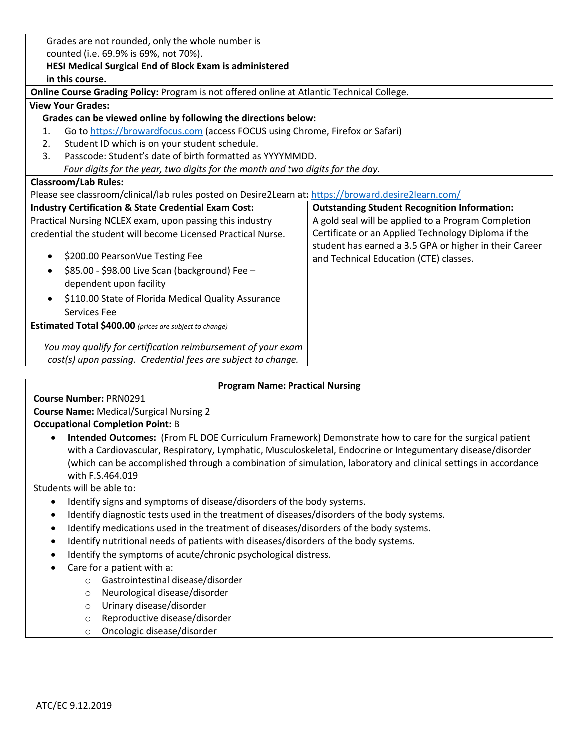| Grades are not rounded, only the whole number is                                                     |                                                        |  |  |
|------------------------------------------------------------------------------------------------------|--------------------------------------------------------|--|--|
| counted (i.e. 69.9% is 69%, not 70%).                                                                |                                                        |  |  |
| HESI Medical Surgical End of Block Exam is administered                                              |                                                        |  |  |
| in this course.                                                                                      |                                                        |  |  |
| Online Course Grading Policy: Program is not offered online at Atlantic Technical College.           |                                                        |  |  |
| <b>View Your Grades:</b>                                                                             |                                                        |  |  |
| Grades can be viewed online by following the directions below:                                       |                                                        |  |  |
| Go to https://browardfocus.com (access FOCUS using Chrome, Firefox or Safari)<br>1.                  |                                                        |  |  |
| Student ID which is on your student schedule.<br>2.                                                  |                                                        |  |  |
| Passcode: Student's date of birth formatted as YYYYMMDD.<br>$\mathbf{3}$ .                           |                                                        |  |  |
| Four digits for the year, two digits for the month and two digits for the day.                       |                                                        |  |  |
| <b>Classroom/Lab Rules:</b>                                                                          |                                                        |  |  |
| Please see classroom/clinical/lab rules posted on Desire2Learn at: https://broward.desire2learn.com/ |                                                        |  |  |
| <b>Industry Certification &amp; State Credential Exam Cost:</b>                                      | <b>Outstanding Student Recognition Information:</b>    |  |  |
| Practical Nursing NCLEX exam, upon passing this industry                                             | A gold seal will be applied to a Program Completion    |  |  |
| credential the student will become Licensed Practical Nurse.                                         | Certificate or an Applied Technology Diploma if the    |  |  |
|                                                                                                      | student has earned a 3.5 GPA or higher in their Career |  |  |
| \$200.00 PearsonVue Testing Fee<br>٠                                                                 | and Technical Education (CTE) classes.                 |  |  |
| \$85.00 - \$98.00 Live Scan (background) Fee -<br>$\bullet$                                          |                                                        |  |  |
| dependent upon facility                                                                              |                                                        |  |  |
| \$110.00 State of Florida Medical Quality Assurance<br>$\bullet$                                     |                                                        |  |  |
| Services Fee                                                                                         |                                                        |  |  |
| <b>Estimated Total \$400.00</b> (prices are subject to change)                                       |                                                        |  |  |
|                                                                                                      |                                                        |  |  |
| You may qualify for certification reimbursement of your exam                                         |                                                        |  |  |
| cost(s) upon passing. Credential fees are subject to change.                                         |                                                        |  |  |

## **Program Name: Practical Nursing**

## **Course Number:** PRN0291

**Course Name:** Medical/Surgical Nursing 2

## **Occupational Completion Point:** B

• **Intended Outcomes:** (From FL DOE Curriculum Framework) Demonstrate how to care for the surgical patient with a Cardiovascular, Respiratory, Lymphatic, Musculoskeletal, Endocrine or Integumentary disease/disorder (which can be accomplished through a combination of simulation, laboratory and clinical settings in accordance with F.S.464.019

Students will be able to:

- Identify signs and symptoms of disease/disorders of the body systems.
- Identify diagnostic tests used in the treatment of diseases/disorders of the body systems.
- Identify medications used in the treatment of diseases/disorders of the body systems.
- Identify nutritional needs of patients with diseases/disorders of the body systems.
- Identify the symptoms of acute/chronic psychological distress.
- Care for a patient with a:
	- o Gastrointestinal disease/disorder
	- o Neurological disease/disorder
	- o Urinary disease/disorder
	- o Reproductive disease/disorder
	- o Oncologic disease/disorder